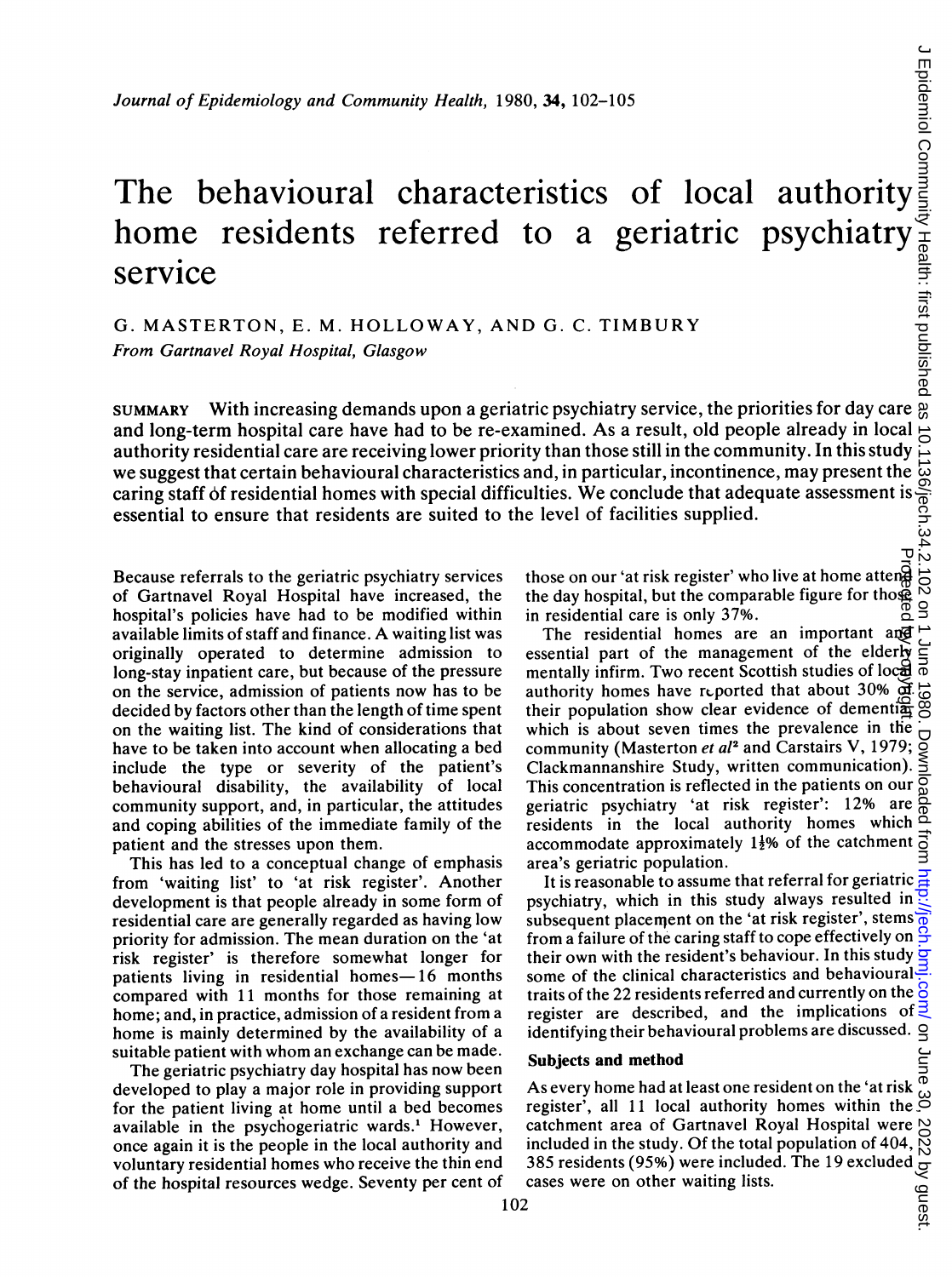# Journal of Epidemiology and Community Health, 1980, 34, 102-105<br>
The behavioural characteristics of local authority<br>
of the service<br>
to a geriatric psychiatry<br>
service<br>
G. MASTERTON, E. M. HOLLOWAY, AND G. C. TIMBURY<br>
Fro home residents referred to a geriatric psychiatry service

G. MASTERTON, E. M. HOLLOWAY, AND G. C. TIMBURY From Gartnavel Royal Hospital, Glasgow

SUMMARY With increasing demands upon a geriatric psychiatry service, the priorities for day care and long-term hospital care have had to be re-examined. As a result, old people already in local  $\Rightarrow$ authority residential care are receiving lower priority than those still in the community. In this study we suggest that certain behavioural characteristics and, in particular, incontinence, may present the authority residential care are receiving lower priority than those still in the community. In this study  $\frac{1}{2}$ <br>we suggest that certain behavioural characteristics and, in particular, incontinence, may present the  $\frac{$ essential to ensure that residents are suited to the level of facilities supplied.

Because referrals to the geriatric psychiatry services of Gartnavel Royal Hospital have increased, the hospital's policies have had to be modified within available limits of staff and finance. A waiting list was originally operated to determine admission to long-stay inpatient care, but because of the pressure on the service, admission of patients now has to be decided by factors other than the length of time spent on the waiting list. The kind of considerations that have to be taken into account when allocating a bed include the type or severity of the patient's behavioural disability, the availability of local community support, and, in particular, the attitudes and coping abilities of the immediate family of the patient and the stresses upon them.

This has led to a conceptual change of emphasis from 'waiting list' to 'at risk register'. Another development is that people already in some form of residential care are generally regarded as having low priority for admission. The mean duration on the 'at risk register' is therefore somewhat longer for patients living in residential homes-16 months compared with 11 months for those remaining at home; and, in practice, admission of a resident from a home is mainly determined by the availability of a suitable patient with whom an exchange can be made.

The geriatric psychiatry day hospital has now been developed to play a major role in providing support for the patient living at home until a bed becomes available in the psychogeriatric wards.' However, once again it is the people in the local authority and voluntary residential homes who receive the thin end of the hospital resources wedge. Seventy per cent of those on our 'at risk register' who live at home atteng the day hospital, but the comparable figure for those in residential care is only 37%.

The residential homes are an important and essential part of the management of the elderly mentally infirm. Two recent Scottish studies of local authority homes have reported that about 30% of their population show clear evidence of dementi $\frac{dS}{dx}$ which is about seven times the prevalence in the community (Masterton et al<sup>2</sup> and Carstairs V, 1979; Clackmannanshire Study, written communication). This concentration is reflected in the patients on our geriatric psychiatry 'at risk register': 12% are residents in the local authority homes which accommodate approximately  $1\frac{1}{2}\%$  of the catchment area's geriatric population. Protected by copyright.

It is reasonable to assume that referral for geriatric psychiatry, which in this study always resulted in subsequent placement on the 'at risk register', stems' from <sup>a</sup> failure of the caring staff to cope effectively on their own with the resident's behaviour. In this study  $\frac{1}{2}$ some of the clinical characteristics and behavioural traits of the 22 residents referred and currently on the  $\frac{8}{9}$ register are described, and the implications of  $\overline{z}$ identifying their behavioural problems are discussed.

# Subjects and method

As every home had at least one resident on the 'at risk  $\frac{\phi}{\phi}$ register', all 11 local authority homes within the  $\stackrel{\sim}{\circ}$ catchment area of Gartnavel Royal Hospital were included in the study. Of the total population of 404, 385 residents (95%) were included. The 19 excluded cases were on other waiting lists.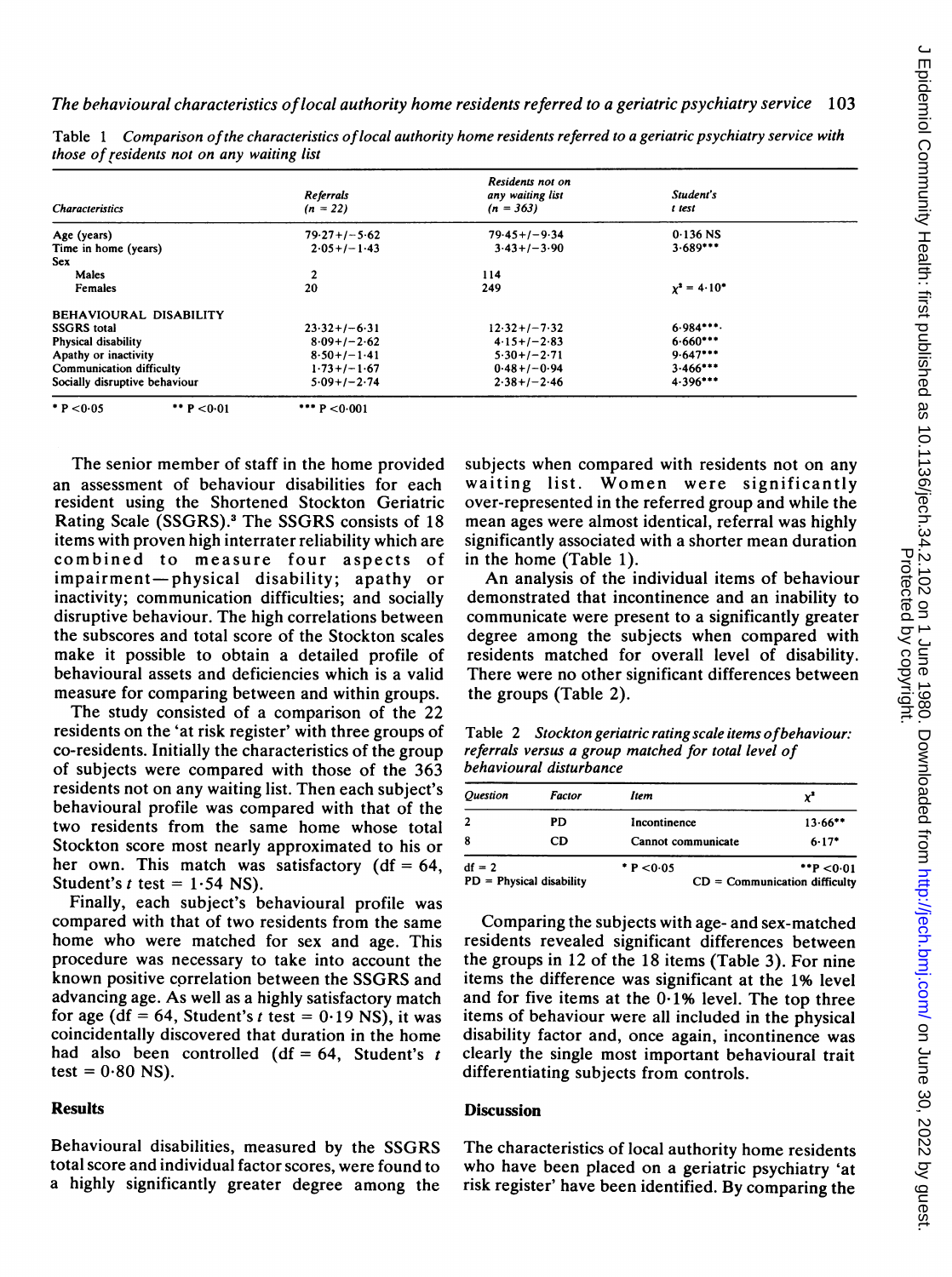$\overline{a}$ 

| <b>Characteristics</b>          | <b>Referrals</b><br>$(n = 22)$ | Residents not on<br>any waiting list<br>$(n = 363)$ | Student's<br>t test |
|---------------------------------|--------------------------------|-----------------------------------------------------|---------------------|
| Age (years)                     | $79.27+/-5.62$                 | $79.45+/-9.34$                                      | $0.136$ NS          |
| Time in home (years)            | $2.05+/-1.43$                  | $3.43+/-3.90$                                       | $3.689***$          |
| <b>Sex</b>                      |                                |                                                     |                     |
| Males                           | $\mathbf{2}$                   | 114                                                 |                     |
| Females                         | 20                             | 249                                                 | $x^2 = 4.10^*$      |
| <b>BEHAVIOURAL DISABILITY</b>   |                                |                                                     |                     |
| <b>SSGRS</b> total              | $23.32+/-6.31$                 | $12.32 + 1 - 7.32$                                  | $6.984***$          |
| Physical disability             | $8.09+/-2.62$                  | $4.15+/-2.83$                                       | $6.660***$          |
| Apathy or inactivity            | $8.50+/-1.41$                  | $5.30+/-2.71$                                       | $9.647***$          |
| <b>Communication difficulty</b> | $1.73 + 1 - 1.67$              | $0.48 + 1 - 0.94$                                   | $3.466***$          |
| Socially disruptive behaviour   | $5.09+1-2.74$                  | $2.38 + 1 - 2.46$                                   | $4.396***$          |
| P < 0.05<br>P < 0.01            | *** $P < 0.001$                |                                                     |                     |

Table <sup>1</sup> Comparison ofthe characteristics oflocal authority home residents referred to a geriatric psychiatry service with those of residents not on any waiting list

The senior member of staff in the home provided an assessment of behaviour disabilities for each resident using the Shortened Stockton Geriatric Rating Scale (SSGRS).3 The SSGRS consists of 18 items with proven high interrater reliability which are combined to measure four aspects of impairment-physical disability; apathy or inactivity; communication difficulties; and socially disruptive behaviour. The high correlations between the subscores and total score of the Stockton scales make it possible to obtain a detailed profile of behavioural assets and deficiencies which is a valid measure for comparing between and within groups.

The study consisted of a comparison of the 22 residents on the 'at risk register' with three groups of co-residents. Initially the characteristics of the group of subjects were compared with those of the 363 residents not on any waiting list. Then each subject's behavioural profile was compared with that of the two residents from the same home whose total Stockton score most nearly approximated to his or her own. This match was satisfactory  $(df = 64,$ Student's  $t$  test = 1.54 NS).

Finally, each subject's behavioural profile was compared with that of two residents from the same home who were matched for sex and age. This procedure was necessary to take into account the known positive correlation between the SSGRS and advancing age. As well as a highly satisfactory match for age ( $df = 64$ , Student's t test = 0.19 NS), it was coincidentally discovered that duration in the home had also been controlled (df =  $64$ , Student's t test =  $0.80$  NS).

## **Results**

Behavioural disabilities, measured by the SSGRS total score and individual factor scores, were found to a highly significantly greater degree among the

subjects when compared with residents not on any waiting list. Women were significantly over-represented in the referred group and while the mean ages were almost identical, referral was highly significantly associated with a shorter mean duration in the home (Table 1).

An analysis of the individual items of behaviour demonstrated that incontinence and an inability to communicate were present to a significantly greater degree among the subjects when compared with residents matched for overall level of disability. There were no other significant differences between the groups (Table 2).

Table 2 Stockton geriatric ratingscale items ofbehaviour: referrals versus a group matched for total level of behavioural disturbance

| <i><b>Ouestion</b></i>     | <b>Factor</b> | Item               | yª                              |  |
|----------------------------|---------------|--------------------|---------------------------------|--|
| $\overline{2}$             | PD            | Incontinence       | $13.66***$                      |  |
| 8                          | CD            | Cannot communicate | $6.17*$                         |  |
| $df = 2$                   |               | P < 0.05           | $*$ P < 0.01                    |  |
| $PD = Physical disability$ |               |                    | $CD = Communication$ difficulty |  |

Comparing the subjects with age- and sex-matched residents revealed significant differences between the groups in 12 of the 18 items (Table 3). For nine items the difference was significant at the 1% level and for five items at the  $0.1\%$  level. The top three items of behaviour were all included in the physical disability factor and, once again, incontinence was clearly the single most important behavioural trait differentiating subjects from controls.

#### **Discussion**

The characteristics of local authority home residents who have been placed on a geriatric psychiatry 'at risk register' have been identified. By comparing the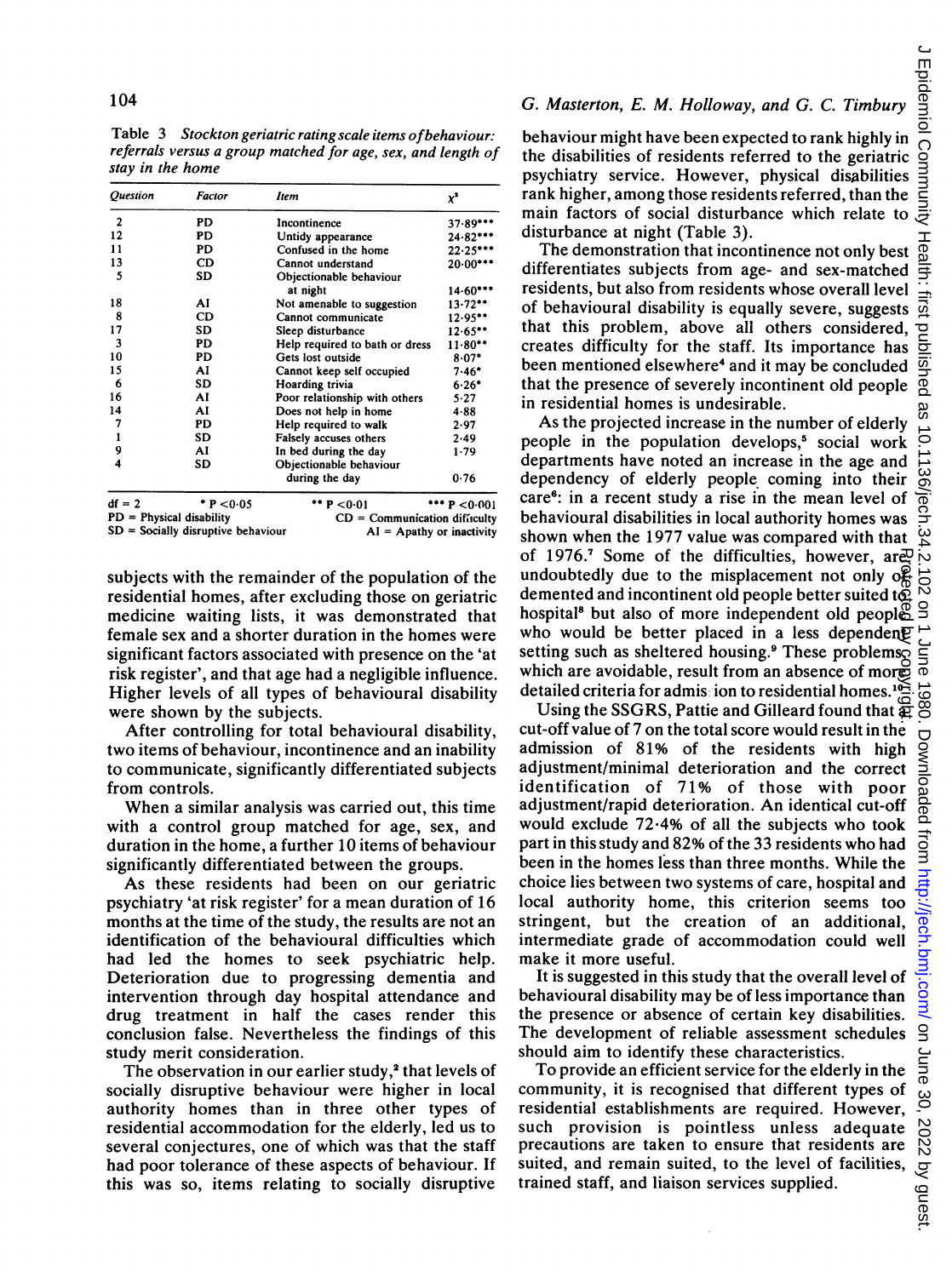Table 3 Stockton geriatric ratingscale items ofbehaviour: referrals versus a group matched for age, sex, and length of stay in the home

| <b>Question</b> | Factor    | liem                           | $x^2$           |
|-----------------|-----------|--------------------------------|-----------------|
| $\overline{2}$  | PD        | Incontinence                   | 37.89***        |
| 12              | PD        | Untidy appearance              | 24 82***        |
| 11              | PD        | Confused in the home           | $22.25***$      |
| 13              | CD        | Cannot understand              | $20.00***$      |
| 5               | SD        | Objectionable behaviour        |                 |
|                 |           | at night                       | $14.60***$      |
| 18              | AI        | Not amenable to suggestion     | $13.72**$       |
| 8               | CD        | Cannot communicate             | 12.95           |
| 17              | <b>SD</b> | Sleep disturbance              | $12.65***$      |
| 3               | PD        | Help required to bath or dress | $11.80**$       |
| 10              | PD        | Gets lost outside              | $8.07*$         |
| 15              | AI        | Cannot keep self occupied      | $7.46*$         |
| 6               | SD        | Hoarding trivia                | $6.26*$         |
| 16              | Al        | Poor relationship with others  | $5 - 27$        |
| 14              | AI        | Does not help in home          | $4 - 88$        |
| 7               | PD        | Help required to walk          | 2.97            |
| 1               | SD        | Falsely accuses others         | 2.49            |
| 9               | AI        | In bed during the day          | 1.79            |
| 4               | SD        | Objectionable behaviour        |                 |
|                 |           | during the day                 | 0.76            |
| df = 2          | P < 0.05  | ** $P < 0.01$                  | $*** p < 0.001$ |

df = 2 <br>PD = Physical disability SD = Socially disruptive behaviour \*\*  $P < 0.01$  \*\*\*  $P < 0.001$  $=$  Communication difficulty  $AI =$  Apathy or inactivity

subjects with the remainder of the population of the residential homes, after excluding those on geriatric medicine waiting lists, it was demonstrated that female sex and a shorter duration in the homes were significant factors associated with presence on the 'at risk register', and that age had a negligible influence. Higher levels of all types of behavioural disability were shown by the subjects.

After controlling for total behavioural disability, two items of behaviour, incontinence and an inability to communicate, significantly differentiated subjects from controls.

When a similar analysis was carried out, this time with a control group matched for age, sex, and duration in the home, a further 10 items of behaviour significantly differentiated between the groups.

As these residents had been on our geriatric psychiatry 'at risk register' for a mean duration of 16 months at the time of the study, the results are not an identification of the behavioural difficulties which had led the homes to seek psychiatric help. Deterioration due to progressing dementia and intervention through day hospital attendance and drug treatment in half the cases render this conclusion false. Nevertheless the findings of this study merit consideration.

The observation in our earlier study,<sup>2</sup> that levels of socially disruptive behaviour were higher in local authority homes than in three other types of residential accommodation for the elderly, led us to several conjectures, one of which was that the staff had poor tolerance of these aspects of behaviour. If this was so, items relating to socially disruptive behaviour might have been expected to rank highly in the disabilities of residents referred to the geriatric psychiatry service. However, physical disabilities rank higher, among those residents referred, than the main factors of social disturbance which relate to disturbance at night (Table 3).

The demonstration that incontinence not only best differentiates subjects from age- and sex-matched residents, but also from residents whose overall level of behavioural disability is equally severe, suggests that this problem, above all others considered, creates difficulty for the staff. Its importance has been mentioned elsewhere<sup>4</sup> and it may be concluded that the presence of severely incontinent old people in residential homes is undesirable.

As the projected increase in the number of elderly people in the population develops,<sup>5</sup> social work departments have noted an increase in the age and dependency of elderly people coming into their care6: in <sup>a</sup> recent study <sup>a</sup> rise in the mean level of behavioural disabilities in local authority homes was shown when the 1977 value was compared with that of 1976.<sup>7</sup> Some of the difficulties, however, are undoubtedly due to the misplacement not only of demented and incontinent old people better suited to hospital<sup>8</sup> but also of more independent old peoples who would be better placed in a less dependent setting such as sheltered housing.<sup>9</sup> These problems, which are avoidable, result from an absence of more detailed criteria for admission to residential homes.<sup>10</sup> Protected by copyright.

Using the SSGRS, Pattie and Gilleard found that  $\overline{x}$ cut-off value of 7 on the total score would result in the admission of 81% of the residents with high adjustment/minimal deterioration and the correct identification of 71% of those with poor adjustment/rapid deterioration. An identical cut-off would exclude 72\*4% of all the subjects who took part in this study and 82% of the 33 residents who had been in the homes less than three months. While the choice lies between two systems of care, hospital and local authority home, this criterion seems too stringent, but the creation of an additional, intermediate grade of accommodation could well make it more useful.

It is suggested in this study that the overall level of behavioural disability may be of less importance than the presence or absence of certain key disabilities. The development of reliable assessment schedules should aim to identify these characteristics.

To provide an efficient service for the elderly in the community, it is recognised that different types of residential establishments are required. However, such provision is pointless unless adequate precautions are taken to ensure that residents are suited, and remain suited, to the level of facilities, trained staff, and liaison services supplied.